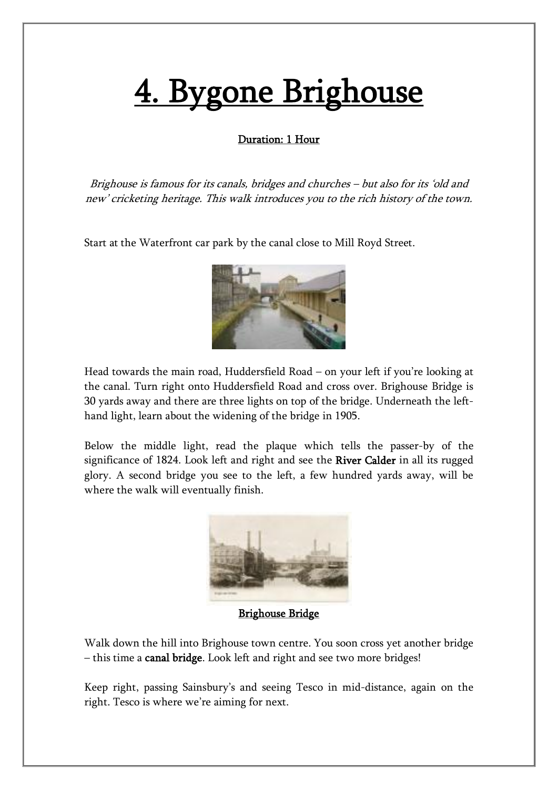## 4. Bygone Brighouse

## Duration: 1 Hour

Brighouse is famous for its canals, bridges and churches – but also for its 'old and new' cricketing heritage. This walk introduces you to the rich history of the town.

Start at the Waterfront car park by the canal close to Mill Royd Street.



Head towards the main road, Huddersfield Road – on your left if you're looking at the canal. Turn right onto Huddersfield Road and cross over. Brighouse Bridge is 30 yards away and there are three lights on top of the bridge. Underneath the left hand light, learn about the widening of the bridge in 1905.

Below the middle light, read the plaque which tells the passer-by of the significance of 1824. Look left and right and see the River Calder in all its rugged glory. A second bridge you see to the left, a few hundred yards away, will be where the walk will eventually finish.



Brighouse Bridge

Walk down the hill into Brighouse town centre. You soon cross yet another bridge – this time a canal bridge. Look left and right and see two more bridges!

Keep right, passing Sainsbury's and seeing Tesco in mid-distance, again on the right. Tesco is where we're aiming for next.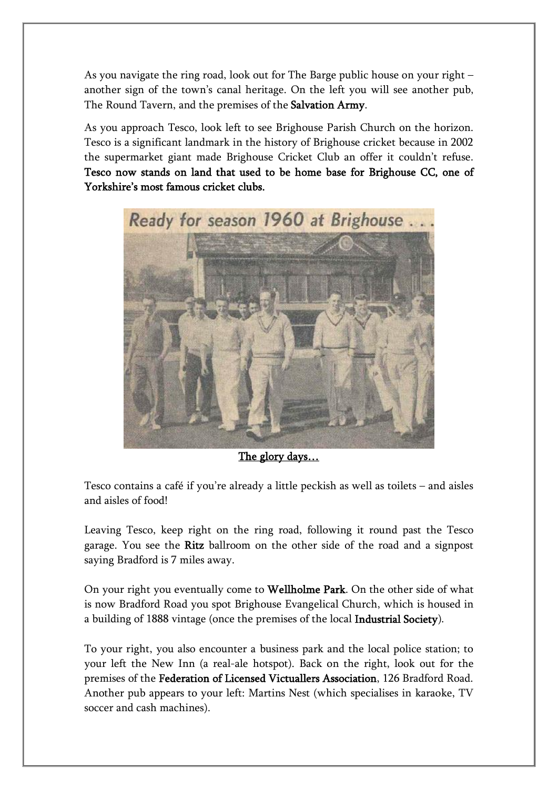As you navigate the ring road, look out for The Barge public house on your right – another sign of the town's canal heritage. On the left you will see another pub, The Round Tavern, and the premises of the Salvation Army.

As you approach Tesco, look left to see Brighouse Parish Church on the horizon. Tesco is a significant landmark in the history of Brighouse cricket because in 2002 the supermarket giant made Brighouse Cricket Club an offer it couldn't refuse. Tesco now stands on land that used to be home base for Brighouse CC, one of Yorkshire's most famous cricket clubs.



The glory days…

Tesco contains a café if you're already a little peckish as well as toilets – and aisles and aisles of food!

Leaving Tesco, keep right on the ring road, following it round past the Tesco garage. You see the Ritz ballroom on the other side of the road and a signpost saying Bradford is 7 miles away.

On your right you eventually come to Wellholme Park. On the other side of what is now Bradford Road you spot Brighouse Evangelical Church, which is housed in a building of 1888 vintage (once the premises of the local Industrial Society).

To your right, you also encounter a business park and the local police station; to your left the New Inn (a real-ale hotspot). Back on the right, look out for the premises of the Federation of Licensed Victuallers Association, 126 Bradford Road. Another pub appears to your left: Martins Nest (which specialises in karaoke, TV soccer and cash machines).